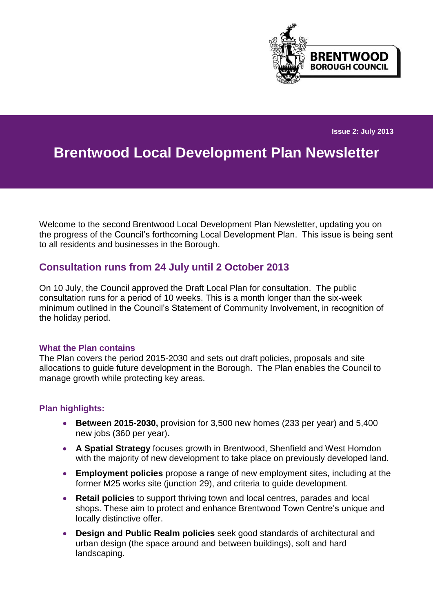

**Issue 2: July 2013**

# **Brentwood Local Development Plan Newsletter**

Welcome to the second Brentwood Local Development Plan Newsletter, updating you on the progress of the Council's forthcoming Local Development Plan. This issue is being sent to all residents and businesses in the Borough.

### **Consultation runs from 24 July until 2 October 2013**

On 10 July, the Council approved the Draft Local Plan for consultation. The public consultation runs for a period of 10 weeks. This is a month longer than the six-week minimum outlined in the Council's Statement of Community Involvement, in recognition of the holiday period.

#### **What the Plan contains**

The Plan covers the period 2015-2030 and sets out draft policies, proposals and site allocations to guide future development in the Borough. The Plan enables the Council to manage growth while protecting key areas.

#### **Plan highlights:**

- **Between 2015-2030,** provision for 3,500 new homes (233 per year) and 5,400 new jobs (360 per year)**.**
- **A Spatial Strategy** focuses growth in Brentwood, Shenfield and West Horndon with the majority of new development to take place on previously developed land.
- **Employment policies** propose a range of new employment sites, including at the former M25 works site (junction 29), and criteria to quide development.
- **Retail policies** to support thriving town and local centres, parades and local shops. These aim to protect and enhance Brentwood Town Centre's unique and locally distinctive offer.
- **Design and Public Realm policies** seek good standards of architectural and urban design (the space around and between buildings), soft and hard landscaping.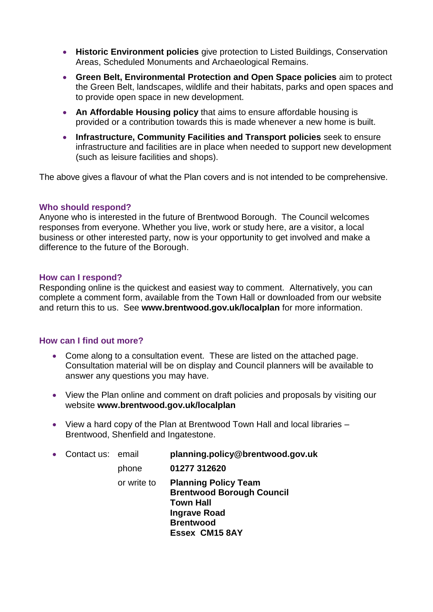- **Historic Environment policies** give protection to Listed Buildings, Conservation Areas, Scheduled Monuments and Archaeological Remains.
- **Green Belt, Environmental Protection and Open Space policies** aim to protect the Green Belt, landscapes, wildlife and their habitats, parks and open spaces and to provide open space in new development.
- **An Affordable Housing policy** that aims to ensure affordable housing is provided or a contribution towards this is made whenever a new home is built.
- **Infrastructure, Community Facilities and Transport policies** seek to ensure infrastructure and facilities are in place when needed to support new development (such as leisure facilities and shops).

The above gives a flavour of what the Plan covers and is not intended to be comprehensive.

#### **Who should respond?**

Anyone who is interested in the future of Brentwood Borough. The Council welcomes responses from everyone. Whether you live, work or study here, are a visitor, a local business or other interested party, now is your opportunity to get involved and make a difference to the future of the Borough.

#### **How can I respond?**

Responding online is the quickest and easiest way to comment. Alternatively, you can complete a comment form, available from the Town Hall or downloaded from our website and return this to us. See **[www.brentwood.gov.uk/localplan](http://www.brentwood.gov.uk/localplan)** for more information.

#### **How can I find out more?**

- Come along to a consultation event. These are listed on the attached page. Consultation material will be on display and Council planners will be available to answer any questions you may have.
- View the Plan online and comment on draft policies and proposals by visiting our website **[www.brentwood.gov.uk/localplan](http://www.brentwood.gov.uk/localplan)**
- View a hard copy of the Plan at Brentwood Town Hall and local libraries Brentwood, Shenfield and Ingatestone.

| $\bullet$ | Contact us: email |             | planning.policy@brentwood.gov.uk                                                                                                                        |
|-----------|-------------------|-------------|---------------------------------------------------------------------------------------------------------------------------------------------------------|
|           |                   | phone       | 01277 312620                                                                                                                                            |
|           |                   | or write to | <b>Planning Policy Team</b><br><b>Brentwood Borough Council</b><br><b>Town Hall</b><br><b>Ingrave Road</b><br><b>Brentwood</b><br><b>Essex CM15 8AY</b> |